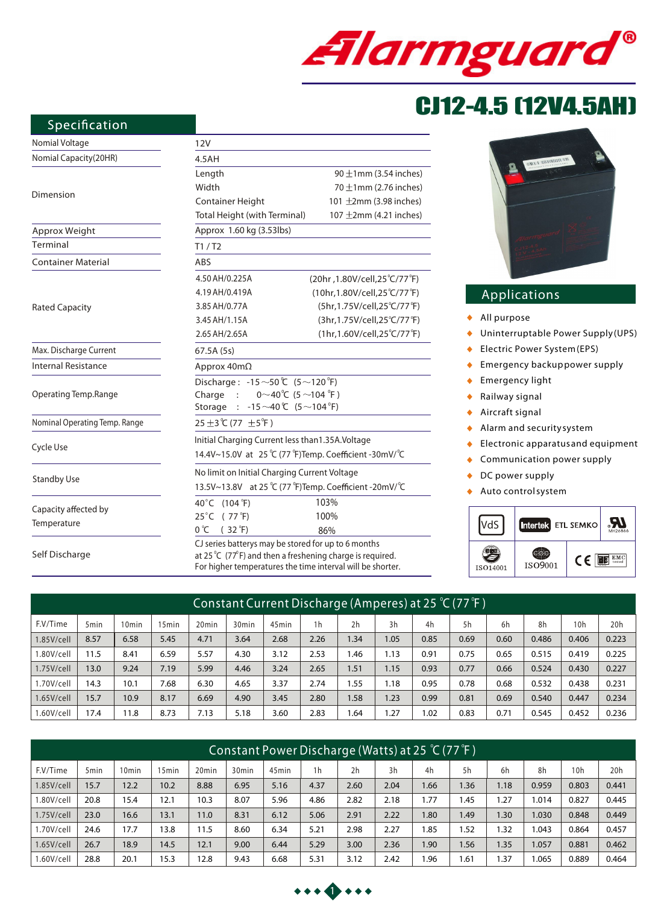

# CJ12-4.5 (12V4.5AH)

#### **Specification**

### Nomia

| Nomial Voltage                | 12V                                                       |                                                                                |  |  |  |  |  |  |
|-------------------------------|-----------------------------------------------------------|--------------------------------------------------------------------------------|--|--|--|--|--|--|
| Nomial Capacity(20HR)         | 4.5AH                                                     |                                                                                |  |  |  |  |  |  |
|                               | Length                                                    | $90 \pm 1$ mm (3.54 inches)                                                    |  |  |  |  |  |  |
|                               | Width                                                     | 70 $\pm$ 1mm (2.76 inches)                                                     |  |  |  |  |  |  |
| Dimension                     | Container Height                                          | 101 $\pm$ 2mm (3.98 inches)                                                    |  |  |  |  |  |  |
|                               | Total Height (with Terminal)                              | 107 $\pm$ 2mm (4.21 inches)                                                    |  |  |  |  |  |  |
| Approx Weight                 | Approx 1.60 kg (3.53lbs)                                  |                                                                                |  |  |  |  |  |  |
| Terminal                      | T1/ T2                                                    |                                                                                |  |  |  |  |  |  |
| <b>Container Material</b>     | <b>ABS</b>                                                |                                                                                |  |  |  |  |  |  |
|                               | 4.50 AH/0.225A                                            | (20hr, 1.80V/cell, 25°C/77°F)                                                  |  |  |  |  |  |  |
|                               | 4.19 AH/0.419A                                            | (10hr,1.80V/cell,25°C/77°F)                                                    |  |  |  |  |  |  |
| <b>Rated Capacity</b>         | 3.85 AH/0.77A                                             | (5hr,1.75V/cell,25°C/77°F)                                                     |  |  |  |  |  |  |
|                               | 3.45 AH/1.15A                                             | (3hr,1.75V/cell,25°C/77°F)                                                     |  |  |  |  |  |  |
|                               | 2.65 AH/2.65A                                             | (1hr,1.60V/cell,25°C/77°F)                                                     |  |  |  |  |  |  |
| Max. Discharge Current        | 67.5A (5s)                                                |                                                                                |  |  |  |  |  |  |
| <b>Internal Resistance</b>    | Approx 40mΩ                                               |                                                                                |  |  |  |  |  |  |
|                               | Discharge: $-15 \sim 50$ °C $(5 \sim 120$ °F)             |                                                                                |  |  |  |  |  |  |
| Operating Temp.Range          | $0^\sim 40^\circ C$ (5 $\sim$ 104 $^\circ$ F)<br>Charge : |                                                                                |  |  |  |  |  |  |
|                               | $-15 \sim 40$ °C $(5 \sim 104$ °F)<br>Storage<br>$\cdot$  |                                                                                |  |  |  |  |  |  |
| Nominal Operating Temp. Range | 25 ±3 ℃ (77 ±5 °F)                                        |                                                                                |  |  |  |  |  |  |
|                               | Initial Charging Current less than 1.35A. Voltage         |                                                                                |  |  |  |  |  |  |
| Cycle Use                     | 14.4V~15.0V at 25 °C (77 °F)Temp. Coefficient -30mV/ °C   |                                                                                |  |  |  |  |  |  |
|                               | No limit on Initial Charging Current Voltage              |                                                                                |  |  |  |  |  |  |
| <b>Standby Use</b>            | 13.5V~13.8V at 25 °C (77 °F)Temp. Coefficient -20mV/ °C   |                                                                                |  |  |  |  |  |  |
|                               | 40°C (104°F)                                              | 103%                                                                           |  |  |  |  |  |  |
| Capacity affected by          | 25°C (77°F)                                               | 100%                                                                           |  |  |  |  |  |  |
| Temperature                   | 0 °C<br>$(32 \degree F)$                                  | 86%                                                                            |  |  |  |  |  |  |
|                               |                                                           | CJ series batterys may be stored for up to 6 months                            |  |  |  |  |  |  |
| Self Discharge                |                                                           | at 25 $^{\circ}$ C (77 $^{\circ}$ F) and then a freshening charge is required. |  |  |  |  |  |  |

required. For higher temperatures the time interval will be shorter.



#### **Applications**

- *All purpose*  $\bullet$
- *Uninterruptable Power Supply (UPS)*  $\ddot{\bullet}$
- *Electric Power System (EPS)*  $\bullet$
- *Emergency backup power supply*  $\bullet$
- *Emergency light*   $\bullet$
- *Railway signal*   $\bullet$
- *Aircraft signal*  $\bullet$
- $\bullet$ *Alarm and security system*
- *Electronic apparatus and equipment*  $\bullet$
- *Communication power supply*  $\bullet$
- $\blacklozenge$ *DC power supply*
- *Auto control system*  $\bullet$



| Constant Current Discharge (Amperes) at 25 °C (77 °F ) |                  |      |       |                   |                   |                   |                |                |      |      |      |      |       |       |       |
|--------------------------------------------------------|------------------|------|-------|-------------------|-------------------|-------------------|----------------|----------------|------|------|------|------|-------|-------|-------|
| F.V/Time                                               | 5 <sub>min</sub> | Omin | 15min | 20 <sub>min</sub> | 30 <sub>min</sub> | 45 <sub>min</sub> | 1 <sub>h</sub> | 2 <sub>h</sub> | 3h   | 4h   | 5h   | 6h   | 8h    | 10h   | 20h   |
| $1.85$ V/cell                                          | 8.57             | 6.58 | 5.45  | 4.71              | 3.64              | 2.68              | 2.26           | .34            | 1.05 | 0.85 | 0.69 | 0.60 | 0.486 | 0.406 | 0.223 |
| 1.80V/cell                                             | 11.5             | 8.41 | 6.59  | 5.57              | 4.30              | 3.12              | 2.53           | l.46           | 1.13 | 0.91 | 0.75 | 0.65 | 0.515 | 0.419 | 0.225 |
| $1.75$ V/cell                                          | 13.0             | 9.24 | 7.19  | 5.99              | 4.46              | 3.24              | 2.65           | 1.51           | 1.15 | 0.93 | 0.77 | 0.66 | 0.524 | 0.430 | 0.227 |
| 1.70V/cell                                             | 14.3             | 10.1 | 7.68  | 6.30              | 4.65              | 3.37              | 2.74           | 1.55           | 1.18 | 0.95 | 0.78 | 0.68 | 0.532 | 0.438 | 0.231 |
| 1.65V/cell                                             | 15.7             | 10.9 | 8.17  | 6.69              | 4.90              | 3.45              | 2.80           | 1.58           | 1.23 | 0.99 | 0.81 | 0.69 | 0.540 | 0.447 | 0.234 |
| .60V/cell                                              | 17.4             | 11.8 | 8.73  | 7.13              | 5.18              | 3.60              | 2.83           | l.64           | 1.27 | .02  | 0.83 | 0.71 | 0.545 | 0.452 | 0.236 |

| 'Constant Power Discharge (Watts) at 25 °C (77 °F ) |                  |                   |                   |                   |                   |                   |                |                |      |                  |      |      |       |                 |       |
|-----------------------------------------------------|------------------|-------------------|-------------------|-------------------|-------------------|-------------------|----------------|----------------|------|------------------|------|------|-------|-----------------|-------|
| F.V/Time                                            | 5 <sub>min</sub> | 10 <sub>min</sub> | 15 <sub>min</sub> | 20 <sub>min</sub> | 30 <sub>min</sub> | 45 <sub>min</sub> | 1 <sub>h</sub> | 2 <sub>h</sub> | 3h   | 4h               | 5h   | 6h   | 8h    | 10 <sub>h</sub> | 20h   |
| $1.85$ V/cell                                       | 15.7             | 12.2              | 10.2              | 8.88              | 6.95              | 5.16              | 4.37           | 2.60           | 2.04 | 1.66             | 1.36 | 1.18 | 0.959 | 0.803           | 0.441 |
| .80V/cell                                           | 20.8             | 15.4              | 12.1              | 10.3              | 8.07              | 5.96              | 4.86           | 2.82           | 2.18 | .77              | .45  | 1.27 | 1.014 | 0.827           | 0.445 |
| $1.75$ V/cell                                       | 23.0             | 16.6              | 13.1              | 11.0              | 8.31              | 6.12              | 5.06           | 2.91           | 2.22 | 0.80             | .49  | 1.30 | 1.030 | 0.848           | 0.449 |
| 1.70V/cell                                          | 24.6             | 17.7              | 13.8              | 11.5              | 8.60              | 6.34              | 5.21           | 2.98           | 2.27 | .85              | 1.52 | 1.32 | 1.043 | 0.864           | 0.457 |
| $1.65$ V/cell                                       | 26.7             | 18.9              | 14.5              | 12.1              | 9.00              | 6.44              | 5.29           | 3.00           | 2.36 | .90 <sub>1</sub> | 1.56 | 1.35 | 1.057 | 0.881           | 0.462 |
| .60V/cell                                           | 28.8             | 20.1              | 15.3              | 12.8              | 9.43              | 6.68              | 5.31           | 3.12           | 2.42 | .96              | 1.61 | 1.37 | 1.065 | 0.889           | 0.464 |